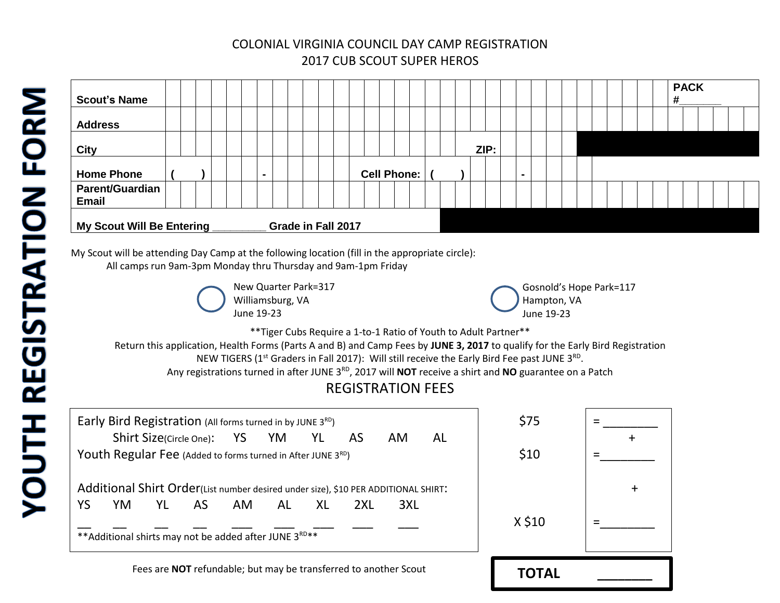### COLONIAL VIRGINIA COUNCIL DAY CAMP REGISTRATION 2017 CUB SCOUT SUPER HEROS

| <b>Scout's Name</b>             |  |  |  |  |                    |  |                    |  |  |      |                          |  |  |  |  | <b>PACK</b><br># |  |  |
|---------------------------------|--|--|--|--|--------------------|--|--------------------|--|--|------|--------------------------|--|--|--|--|------------------|--|--|
| <b>Address</b>                  |  |  |  |  |                    |  |                    |  |  |      |                          |  |  |  |  |                  |  |  |
| <b>City</b>                     |  |  |  |  |                    |  |                    |  |  | ZIP: |                          |  |  |  |  |                  |  |  |
| <b>Home Phone</b>               |  |  |  |  |                    |  | <b>Cell Phone:</b> |  |  |      | $\overline{\phantom{a}}$ |  |  |  |  |                  |  |  |
| Parent/Guardian<br><b>Email</b> |  |  |  |  |                    |  |                    |  |  |      |                          |  |  |  |  |                  |  |  |
| My Scout Will Be Entering       |  |  |  |  | Grade in Fall 2017 |  |                    |  |  |      |                          |  |  |  |  |                  |  |  |

My Scout will be attending Day Camp at the following location (fill in the appropriate circle): All camps run 9am-3pm Monday thru Thursday and 9am-1pm Friday

> New Quarter Park=317 Williamsburg, VA June 19-23

Gosnold's Hope Park=117 Hampton, VA June 19-23

\*\*Tiger Cubs Require a 1-to-1 Ratio of Youth to Adult Partner\*\*

Return this application, Health Forms (Parts A and B) and Camp Fees by **JUNE 3, 2017** to qualify for the Early Bird Registration NEW TIGERS (1<sup>st</sup> Graders in Fall 2017): Will still receive the Early Bird Fee past JUNE 3<sup>RD</sup>.

Any registrations turned in after JUNE 3RD, 2017 will **NOT** receive a shirt and **NO** guarantee on a Patch

# REGISTRATION FEES

|    | Early Bird Registration (All forms turned in by JUNE 3RD)                          |                               |    |     |    |       |     |                                                                  |    | \$75   |  |
|----|------------------------------------------------------------------------------------|-------------------------------|----|-----|----|-------|-----|------------------------------------------------------------------|----|--------|--|
|    |                                                                                    | Shirt Size(Circle One): YS YM |    |     |    | YL AS |     | AM.                                                              | AL |        |  |
|    | Youth Regular Fee (Added to forms turned in After JUNE 3RD)                        |                               |    |     |    |       |     |                                                                  |    | \$10   |  |
|    | Additional Shirt Order(List number desired under size), \$10 PER ADDITIONAL SHIRT: |                               |    |     |    |       |     |                                                                  |    |        |  |
|    |                                                                                    |                               |    |     | AL |       |     |                                                                  |    |        |  |
| YS | YM.                                                                                | YL                            | AS | AM. |    | XL    | 2XL | 3XL                                                              |    |        |  |
|    | ** Additional shirts may not be added after JUNE 3RD**                             |                               |    |     |    |       |     |                                                                  |    | X \$10 |  |
|    |                                                                                    |                               |    |     |    |       |     | Fees are NOT refundable; but may be transferred to another Scout |    |        |  |